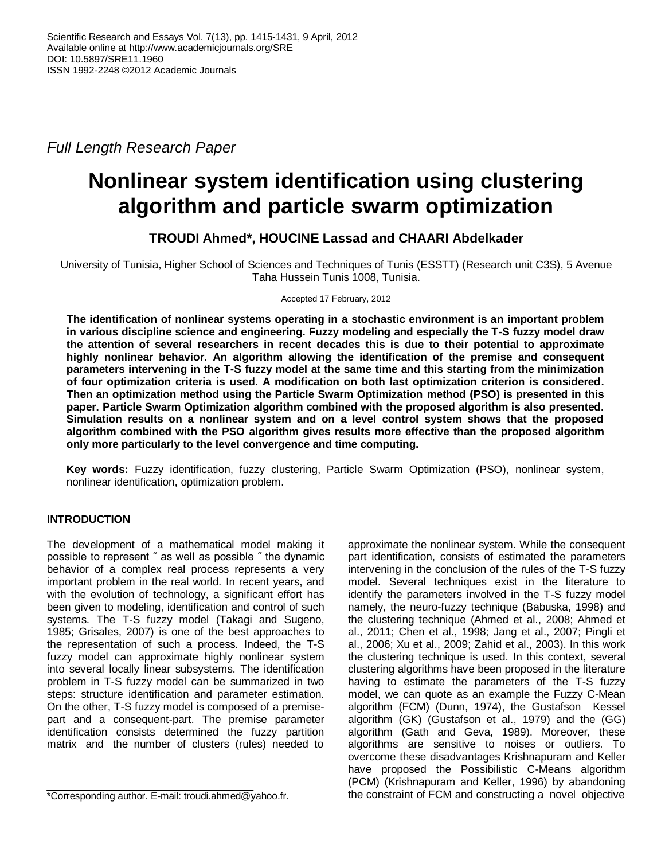*Full Length Research Paper*

# **Nonlinear system identification using clustering algorithm and particle swarm optimization**

# **TROUDI Ahmed\*, HOUCINE Lassad and CHAARI Abdelkader**

University of Tunisia, Higher School of Sciences and Techniques of Tunis (ESSTT) (Research unit C3S), 5 Avenue Taha Hussein Tunis 1008, Tunisia.

Accepted 17 February, 2012

**The identification of nonlinear systems operating in a stochastic environment is an important problem in various discipline science and engineering. Fuzzy modeling and especially the T-S fuzzy model draw the attention of several researchers in recent decades this is due to their potential to approximate highly nonlinear behavior. An algorithm allowing the identification of the premise and consequent parameters intervening in the T-S fuzzy model at the same time and this starting from the minimization of four optimization criteria is used. A modification on both last optimization criterion is considered. Then an optimization method using the Particle Swarm Optimization method (PSO) is presented in this paper. Particle Swarm Optimization algorithm combined with the proposed algorithm is also presented. Simulation results on a nonlinear system and on a level control system shows that the proposed algorithm combined with the PSO algorithm gives results more effective than the proposed algorithm only more particularly to the level convergence and time computing.** 

**Key words:** Fuzzy identification, fuzzy clustering, Particle Swarm Optimization (PSO), nonlinear system, nonlinear identification, optimization problem.

# **INTRODUCTION**

The development of a mathematical model making it possible to represent ˝ as well as possible ˝ the dynamic behavior of a complex real process represents a very important problem in the real world*.* In recent years, and with the evolution of technology, a significant effort has been given to modeling, identification and control of such systems. The T-S fuzzy model (Takagi and Sugeno, 1985; Grisales, 2007) is one of the best approaches to the representation of such a process. Indeed, the T-S fuzzy model can approximate highly nonlinear system into several locally linear subsystems. The identification problem in T-S fuzzy model can be summarized in two steps: structure identification and parameter estimation. On the other, T-S fuzzy model is composed of a premisepart and a consequent-part. The premise parameter identification consists determined the fuzzy partition matrix and the number of clusters (rules) needed to

approximate the nonlinear system. While the consequent part identification, consists of estimated the parameters intervening in the conclusion of the rules of the T-S fuzzy model. Several techniques exist in the literature to identify the parameters involved in the T-S fuzzy model namely, the neuro-fuzzy technique (Babuska, 1998) and the clustering technique (Ahmed et al., 2008; Ahmed et al., 2011; Chen et al., 1998; Jang et al., 2007; Pingli et al., 2006; Xu et al., 2009; Zahid et al., 2003). In this work the clustering technique is used. In this context, several clustering algorithms have been proposed in the literature having to estimate the parameters of the T-S fuzzy model, we can quote as an example the Fuzzy C-Mean algorithm (FCM) (Dunn, 1974), the Gustafson Kessel algorithm (GK) (Gustafson et al., 1979) and the (GG) algorithm (Gath and Geva, 1989). Moreover, these algorithms are sensitive to noises or outliers. To overcome these disadvantages Krishnapuram and Keller have proposed the Possibilistic C-Means algorithm (PCM) (Krishnapuram and Keller, 1996) by abandoning the constraint of FCM and constructing a novel objective

<sup>\*</sup>Corresponding author. E-mail: troudi.ahmed@yahoo.fr.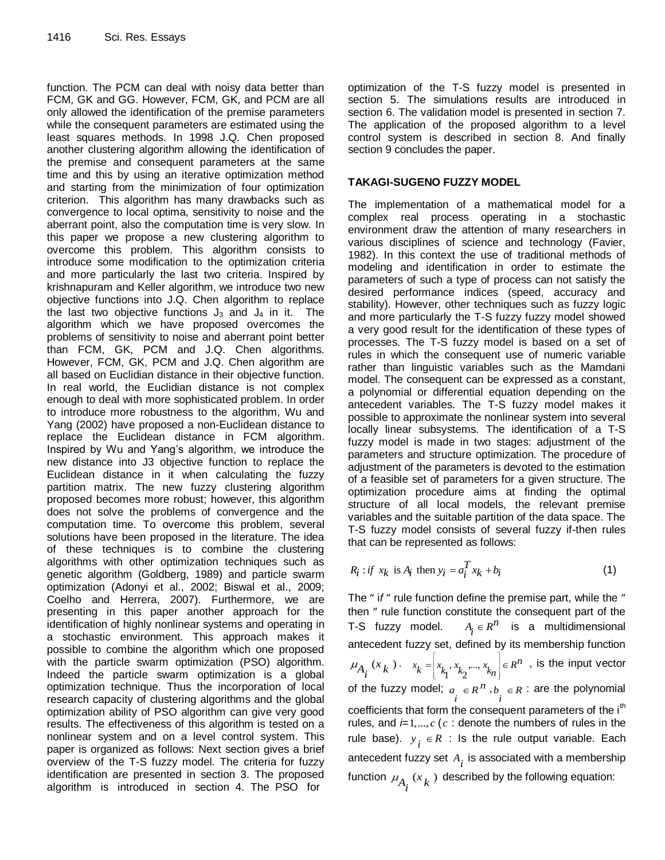function. The PCM can deal with noisy data better than FCM, GK and GG. However, FCM, GK, and PCM are all only allowed the identification of the premise parameters while the consequent parameters are estimated using the least squares methods. In 1998 J.Q. Chen proposed another clustering algorithm allowing the identification of the premise and consequent parameters at the same time and this by using an iterative optimization method and starting from the minimization of four optimization criterion. This algorithm has many drawbacks such as convergence to local optima, sensitivity to noise and the aberrant point, also the computation time is very slow. In this paper we propose a new clustering algorithm to overcome this problem. This algorithm consists to introduce some modification to the optimization criteria and more particularly the last two criteria. Inspired by krishnapuram and Keller algorithm, we introduce two new objective functions into J.Q. Chen algorithm to replace the last two objective functions  $J_3$  and  $J_4$  in it. The algorithm which we have proposed overcomes the problems of sensitivity to noise and aberrant point better than FCM, GK, PCM and J.Q. Chen algorithms. However, FCM, GK, PCM and J.Q. Chen algorithm are all based on Euclidian distance in their objective function. In real world, the Euclidian distance is not complex enough to deal with more sophisticated problem. In order to introduce more robustness to the algorithm, Wu and Yang (2002) have proposed a non-Euclidean distance to replace the Euclidean distance in FCM algorithm. Inspired by Wu and Yang's algorithm, we introduce the new distance into J3 objective function to replace the Euclidean distance in it when calculating the fuzzy partition matrix. The new fuzzy clustering algorithm proposed becomes more robust; however, this algorithm does not solve the problems of convergence and the computation time. To overcome this problem, several solutions have been proposed in the literature. The idea of these techniques is to combine the clustering algorithms with other optimization techniques such as genetic algorithm (Goldberg, 1989) and particle swarm optimization (Adonyi et al., 2002; Biswal et al., 2009; Coelho and Herrera, 2007). Furthermore, we are presenting in this paper another approach for the identification of highly nonlinear systems and operating in a stochastic environment. This approach makes it possible to combine the algorithm which one proposed with the particle swarm optimization (PSO) algorithm. Indeed the particle swarm optimization is a global optimization technique. Thus the incorporation of local research capacity of clustering algorithms and the global optimization ability of PSO algorithm can give very good results. The effectiveness of this algorithm is tested on a nonlinear system and on a level control system. This paper is organized as follows: Next section gives a brief overview of the T-S fuzzy model. The criteria for fuzzy identification are presented in section 3. The proposed algorithm is introduced in section 4. The PSO for

optimization of the T-S fuzzy model is presented in section 5. The simulations results are introduced in section 6. The validation model is presented in section 7. The application of the proposed algorithm to a level control system is described in section 8. And finally section 9 concludes the paper.

# **TAKAGI-SUGENO FUZZY MODEL**

The implementation of a mathematical model for a complex real process operating in a stochastic environment draw the attention of many researchers in various disciplines of science and technology (Favier, 1982). In this context the use of traditional methods of modeling and identification in order to estimate the parameters of such a type of process can not satisfy the desired performance indices (speed, accuracy and stability). However, other techniques such as fuzzy logic and more particularly the T-S fuzzy fuzzy model showed a very good result for the identification of these types of processes. The T-S fuzzy model is based on a set of rules in which the consequent use of numeric variable rather than linguistic variables such as the Mamdani model. The consequent can be expressed as a constant, a polynomial or differential equation depending on the antecedent variables. The T-S fuzzy model makes it possible to approximate the nonlinear system into several locally linear subsystems. The identification of a T-S fuzzy model is made in two stages: adjustment of the parameters and structure optimization. The procedure of adjustment of the parameters is devoted to the estimation of a feasible set of parameters for a given structure. The optimization procedure aims at finding the optimal structure of all local models, the relevant premise variables and the suitable partition of the data space. The T-S fuzzy model consists of several fuzzy if-then rules that can be represented as follows:

$$
R_i: if \ x_k \text{ is } A_i \text{ then } y_i = a_i^T x_k + b_i \tag{1}
$$

The " if " rule function define the premise part, while the " then " rule function constitute the consequent part of the T-S fuzzy model.  $A_i \in R^n$  is a multidimensional antecedent fuzzy set, defined by its membership function  $A_i^{(x_k)}$  $\mu_{A_i}(x_k)$ .  $x_k = x_k, x_{k_2},...,x_k$  $x_k = \left[x_{k_1}, x_{k_2}, ..., x_{k_n}\right] \in R^n$ , is the input vector of the fuzzy model;  $a_i \in R^n$ ,  $b_i \in R$  $\in$  R : are the polynomial coefficients that form the consequent parameters of the i<sup>th</sup> rules, and  *(* $c$ *: denote the numbers of rules in the* rule base).  $y_i \in R$  : Is the rule output variable. Each antecedent fuzzy set  $A_i$  is associated with a membership function  $\mu_{A_i}(x_k)$  described by the following equation: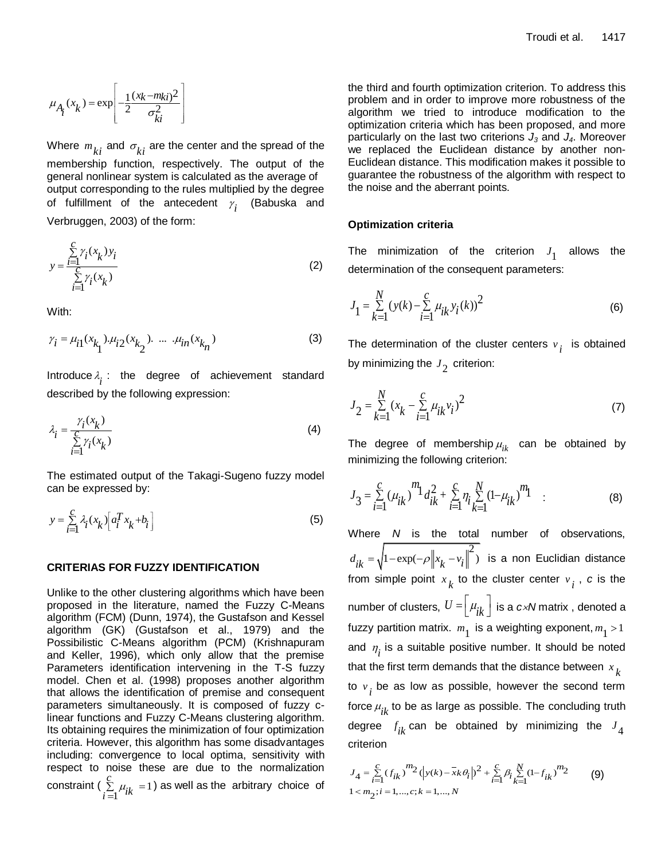$$
\mu_{A_i}(x_k) = \exp\left[-\frac{1}{2}\frac{(x_k-m_{ki})^2}{\sigma_{ki}^2}\right]
$$

Where  $m_{\overline{k}i}$  and  $\sigma_{\overline{k}i}$  are the center and the spread of the membership function, respectively. The output of the general nonlinear system is calculated as the average of output corresponding to the rules multiplied by the degree of fulfillment of the antecedent  $\gamma$ <sub>i</sub> (Babuska and Verbruggen, 2003) of the form:

$$
y = \frac{\sum\limits_{i=1}^{C} \gamma_i(x_k) y_i}{\sum\limits_{i=1}^{C} \gamma_i(x_k)}
$$
(2)

With:

$$
\gamma_i = \mu_{i1}(x_{k_1}), \mu_{i2}(x_{k_2}), \dots, \mu_{in}(x_{k_n})
$$
 (3)

Introduce  $\lambda_i$  : the degree of achievement standard described by the following expression:

$$
\lambda_i = \frac{\gamma_i(x_k)}{\sum\limits_{i=1}^C \gamma_i(x_k)}\tag{4}
$$

The estimated output of the Takagi-Sugeno fuzzy model can be expressed by:

$$
y = \sum_{i=1}^{C} \lambda_i (x_k) \left[ a_i^T x_k + b_i \right]
$$
 (5)

#### **CRITERIAS FOR FUZZY IDENTIFICATION**

Unlike to the other clustering algorithms which have been proposed in the literature, named the Fuzzy C-Means algorithm (FCM) (Dunn, 1974), the Gustafson and Kessel algorithm (GK) (Gustafson et al., 1979) and the Possibilistic C-Means algorithm (PCM) (Krishnapuram and Keller, 1996), which only allow that the premise Parameters identification intervening in the T-S fuzzy model. Chen et al. (1998) proposes another algorithm that allows the identification of premise and consequent parameters simultaneously. It is composed of fuzzy clinear functions and Fuzzy C-Means clustering algorithm. Its obtaining requires the minimization of four optimization criteria. However, this algorithm has some disadvantages including: convergence to local optima, sensitivity with respect to noise these are due to the normalization constraint ( $\sum \mu_{ik} = 1$ 1 *c*  $\sum_{i=1}^{5} \mu_{ik}$  =  $\equiv$ ) as well as the arbitrary choice of

the third and fourth optimization criterion. To address this problem and in order to improve more robustness of the algorithm we tried to introduce modification to the optimization criteria which has been proposed, and more particularly on the last two criterions *J<sup>3</sup>* and *J4*. Moreover we replaced the Euclidean distance by another non-Euclidean distance. This modification makes it possible to guarantee the robustness of the algorithm with respect to the noise and the aberrant points.

#### **Optimization criteria**

The minimization of the criterion  $J_1$  allows the determination of the consequent parameters:

$$
J_1 = \sum_{k=1}^{N} (y(k) - \sum_{i=1}^{C} \mu_{ik} y_i(k))^2
$$
 (6)

The determination of the cluster centers *v i* is obtained by minimizing the  $J_{\c 2}^{}$  criterion:

$$
J_2 = \sum_{k=1}^{N} (x_k - \sum_{i=1}^{c} \mu_{ik} v_i)^2
$$
 (7)

The degree of membership  $\mu_{ik}^{\vphantom{\dagger}}$  can be obtained by minimizing the following criterion:

$$
J_3 = \sum_{i=1}^{c} (\mu_{ik})^{m_1} d_{ik}^2 + \sum_{i=1}^{c} \eta_i \sum_{k=1}^{N} (1 - \mu_{ik})^{m_1}
$$
 (8)

Where *N* is the total number of observations,  $d_{ik} = \sqrt{1 - \exp(-\rho \left\| x_k - v_i \right\|^2)}$  is a non Euclidian distance from simple point  $x_k$  to the cluster center  $v_i$  ,  $c$  is the number of clusters,  $U = \begin{bmatrix} \mu_{ik} \end{bmatrix}$  is a  $c \times N$  matrix , denoted a fuzzy partition matrix.  $m_1$  is a weighting exponent,  $m_1 > 1$ and  $\eta_i^{\vphantom{\dagger}}$  is a suitable positive number. It should be noted that the first term demands that the distance between  $x_k$ to *v i* be as low as possible, however the second term force  $\mu_{ik}^{\phantom i}$  to be as large as possible. The concluding truth degree  $f_{ik}$  can be obtained by minimizing the  $J_4$ criterion

$$
J_4 = \sum_{i=1}^{C} (f_{ik})^{m_2} (|y(k) - \bar{x}k\theta_i|)^2 + \sum_{i=1}^{C} \beta_i \sum_{k=1}^{N} (1 - f_{ik})^{m_2}
$$
(9)  
1  $\langle m_2; i = 1, ..., c; k = 1, ..., N$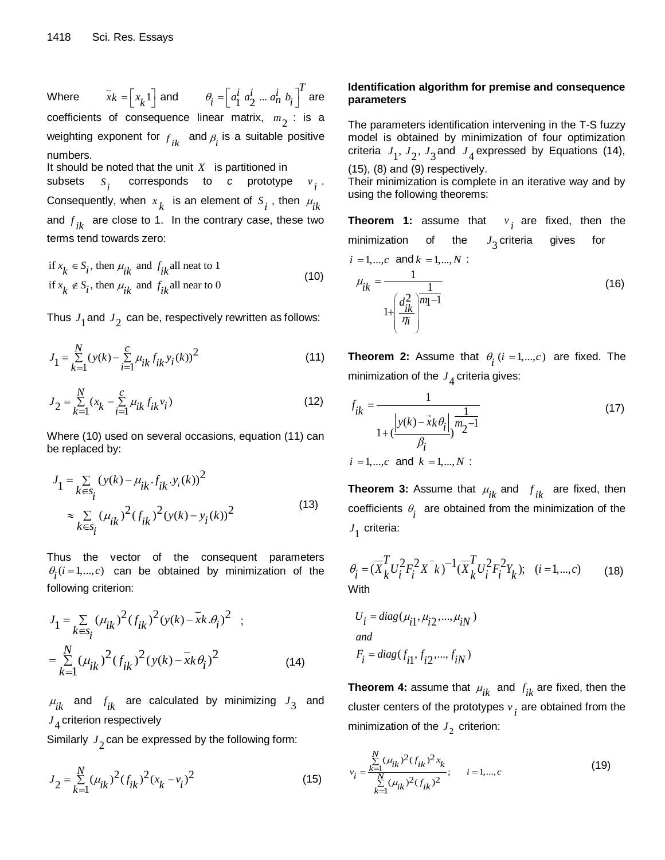Where  $\overline{x_k} = \begin{bmatrix} x_k 1 \end{bmatrix}$  and  $\theta_i = \begin{bmatrix} a_1^i a_2^i ... \end{bmatrix}$  $\theta_i = \left[ a_1^i \ a_2^i \ ... \ a_n^i \ b_i \right]^T$  are coefficients of consequence linear matrix,  $m_{\overline{2}}$  : is a weighting exponent for  $f_{ik}$  and  $\beta_i$  is a suitable positive numbers.

It should be noted that the unit  $X$  is partitioned in subsets  $s_i$  corresponds to *c* prototype  $v_i$ . Consequently, when  $x_k$  is an element of  $s_i$ , then  $\mu_{ik}$ and *f ik* are close to 1. In the contrary case, these two terms tend towards zero:

if 
$$
x_k \in S_i
$$
, then  $\mu_{ik}$  and  $f_{ik}$  all neat to 1  
if  $x_k \notin S_i$ , then  $\mu_{ik}$  and  $f_{ik}$  all near to 0 (10)

Thus  $J_1^{}$  and  $J_2^{}$  can be, respectively rewritten as follows:

$$
J_1 = \sum_{k=1}^{N} (y(k) - \sum_{i=1}^{C} \mu_{ik} f_{ik} y_i(k))^2
$$
 (11)

$$
J_2 = \sum_{k=1}^{N} (x_k - \sum_{i=1}^{C} \mu_{ik} f_{ik} v_i)
$$
 (12)

Where (10) used on several occasions, equation (11) can be replaced by:

$$
J_{1} = \sum_{k \in s_{i}} (y(k) - \mu_{ik} \cdot f_{ik} \cdot y_{i}(k))^{2}
$$
  

$$
\approx \sum_{k \in s_{i}} (\mu_{ik})^{2} (f_{ik})^{2} (y(k) - y_{i}(k))^{2}
$$
 (13)

Thus the vector of the consequent parameters  $\theta_i$  ( $i = 1,..., c$ ) can be obtained by minimization of the following criterion:

$$
J_1 = \sum_{k \in s_i} (\mu_{ik})^2 (f_{ik})^2 (y(k) - \bar{x}k.\theta_i)^2 ;
$$
  
= 
$$
\sum_{k=1}^N (\mu_{ik})^2 (f_{ik})^2 (y(k) - \bar{x}k\theta_i)^2
$$
 (14)

 $\mu_{ik}$  and  $f_{ik}$  are calculated by minimizing  $J_3$  and  $J\rm_{4}$  criterion respectively

Similarly  $J_2^{}$  can be expressed by the following form:

$$
J_2 = \sum_{k=1}^{N} (\mu_{ik})^2 (f_{ik})^2 (x_k - v_i)^2
$$
 (15)

# **Identification algorithm for premise and consequence parameters**

The parameters identification intervening in the T-S fuzzy model is obtained by minimization of four optimization criteria  $J_1$ ,  $J_2$ ,  $J_3$  and  $J_4$  expressed by Equations (14),

 $(15)$ ,  $(8)$  and  $(9)$  respectively.

*i*

 $\eta$ 

Their minimization is complete in an iterative way and by using the following theorems:

**Theorem 1:** assume that *v i* are fixed, then the minimization of the 3 *J* criteria gives for  $i = 1, ..., c$  and  $k = 1, ..., N$ : 1 1  $\sum_{i=1}^{n}$   $\sqrt{m_1-1}$ 1 *ik*  $\frac{d^2_{ik}}{dk}$ <sup>m</sup>  $\mu$  $\left(\frac{d_{ik}^2}{\eta_i}\right)^{\overline{n}}$  $=$  $\overline{a}$  $^{+}$ (16)

**Theorem 2:** Assume that  $\theta_i$  ( $i = 1,...,c$ ) are fixed. The minimization of the  $J_4$  criteria gives:

$$
f_{ik} = \frac{1}{1 + (\frac{|y(k) - \vec{x}k\theta_i|}{\beta_i})^{\frac{1}{m_2 - 1}}}
$$
(17)  
*i* = 1,...,*c* and *k* = 1,...,*N*:

**Theorem 3:** Assume that  $\mu_{ik}$  and  $f_{ik}$  are fixed, then coefficients  $\theta_i$  are obtained from the minimization of the  $J_1$  criteria:

$$
\theta_{i} = (\overline{X}_{k}^{T} U_{i}^{2} F_{i}^{2} X^{-} k)^{-1} (\overline{X}_{k}^{T} U_{i}^{2} F_{i}^{2} Y_{k}); \quad (i = 1, ..., c)
$$
 (18)

$$
U_i = diag(\mu_{i1}, \mu_{i2}, \dots, \mu_{iN})
$$
  
and  

$$
F_i = diag(f_{i1}, f_{i2}, \dots, f_{iN})
$$

**Theorem 4:** assume that  $\mu_{ik}$  and  $f_{ik}$  are fixed, then the cluster centers of the prototypes *v i* are obtained from the minimization of the  $J_2^{\,}$  criterion:

$$
v_{i} = \frac{\sum_{k=1}^{N} (\mu_{ik})^{2} (f_{ik})^{2} x_{k}}{\sum_{k=1}^{N} (\mu_{ik})^{2} (f_{ik})^{2}}; \qquad i = 1,...,c
$$
\n(19)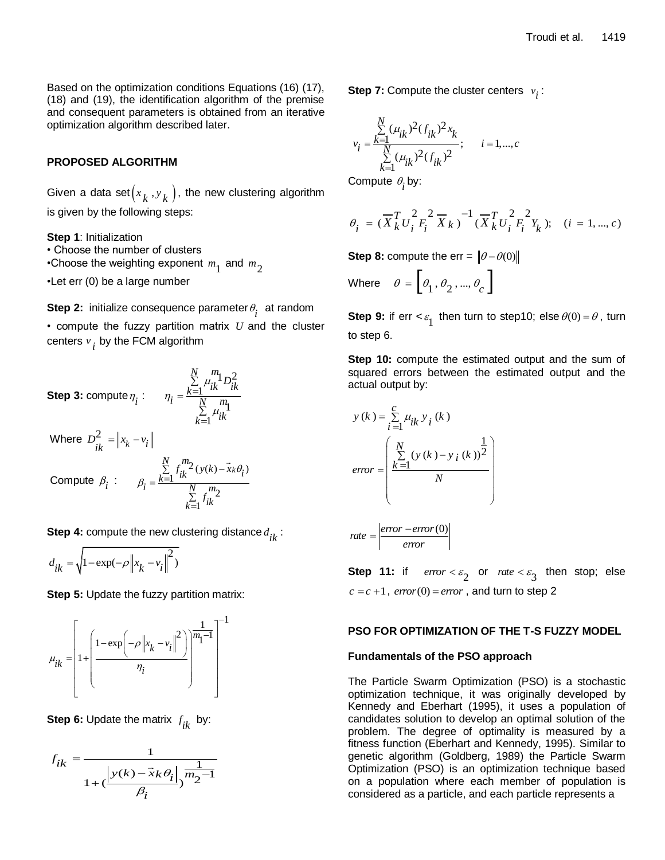Based on the optimization conditions Equations (16) (17), (18) and (19), the identification algorithm of the premise and consequent parameters is obtained from an iterative optimization algorithm described later.

# **PROPOSED ALGORITHM**

Given a data set $(x_k^{}, y_k^{})$ , the new clustering algorithm is given by the following steps:

**Step 1**: Initialization

• Choose the number of clusters

 $\cdot$ Choose the weighting exponent  $m^{}_1$  and  $m^{}_2$ 

•Let err (0) be a large number

**Step 2:** initialize consequence parameter  $\theta$ <sub>i</sub> at random

• compute the fuzzy partition matrix *U* and the cluster centers  $v_{\boldsymbol{i}}^{\phantom{\dag}}$  by the FCM algorithm

**Step 3:** compute 
$$
\eta_i
$$
:  $\eta_i = \frac{\sum_{k=1}^{N} \mu_{ik}^m D_{ik}^2}{\sum_{k=1}^{N} \mu_{ik}^m}$  \nWhere  $D_{ik}^2 = \|x_k - v_i\|$  \nCompute  $\beta_i$ :  $\beta_i = \frac{\sum_{k=1}^{N} f_{ik}^m 2}{\sum_{k=1}^{N} f_{ik}^m 2}$ 

**Step 4:** compute the new clustering distance *d ik* :

$$
d_{ik} = \sqrt{1 - \exp(-\rho ||x_k - v_i||^2)}
$$

**Step 5:** Update the fuzzy partition matrix:



**Step 6:** Update the matrix *f ik* by:

$$
f_{ik} = \frac{1}{1 + (\frac{\left|y(k) - \vec{x}k\theta_i\right|}{\beta_i})^{m_2 - 1}}
$$

**Step 7:** Compute the cluster centers  $v_i$ :

$$
v_i = \frac{\sum\limits_{k=1}^{N} (\mu_{ik})^2 (f_{ik})^2 x_k}{\sum\limits_{k=1}^{N} (\mu_{ik})^2 (f_{ik})^2}; \quad i = 1,...,c
$$

Compute  $\theta_i$  by:

$$
\theta_{i} = (\overline{X}_{k}^{T} U_{i}^{2} F_{i}^{2} \overline{X}_{k})^{-1} (\overline{X}_{k}^{T} U_{i}^{2} F_{i}^{2} Y_{k}); \quad (i = 1, ..., c)
$$

**Step 8:** compute the err =  $\|\theta - \theta(0)\|$ 

Where 
$$
\theta = \left[\theta_1, \theta_2, ..., \theta_c\right]
$$

**Step 9:** if  $err < \varepsilon_1$  then turn to step10; else  $\theta(0) = \theta$ , turn to step 6.

**Step 10:** compute the estimated output and the sum of squared errors between the estimated output and the actual output by:

$$
y(k) = \sum_{i=1}^{C} \mu_{ik} y_i(k)
$$
  
\n
$$
error = \begin{pmatrix} \frac{N}{\sum_{i=1}^{N} (y(k) - y_i(k))^2} \\ \frac{k=1}{N} \\ \frac{N}{\sum_{i=1}^{N} (y(k) - y_i(k))^2} \\ \frac{N}{\sum_{i=1}^{N} (y(k) - y_i(k))^2}{\sum_{i=1}^{N} (y(k) - y_i(k))^2} \end{pmatrix}
$$

**Step 11:** if  $error < \varepsilon_2$  or  $rate < \varepsilon_3$  then stop; else  $c = c + 1$ , *error* (0) = *error*, and turn to step 2

# **PSO FOR OPTIMIZATION OF THE T-S FUZZY MODEL**

#### **Fundamentals of the PSO approach**

The Particle Swarm Optimization (PSO) is a stochastic optimization technique, it was originally developed by Kennedy and Eberhart (1995), it uses a population of candidates solution to develop an optimal solution of the problem. The degree of optimality is measured by a fitness function (Eberhart and Kennedy, 1995). Similar to genetic algorithm (Goldberg, 1989) the Particle Swarm Optimization (PSO) is an optimization technique based on a population where each member of population is considered as a particle, and each particle represents a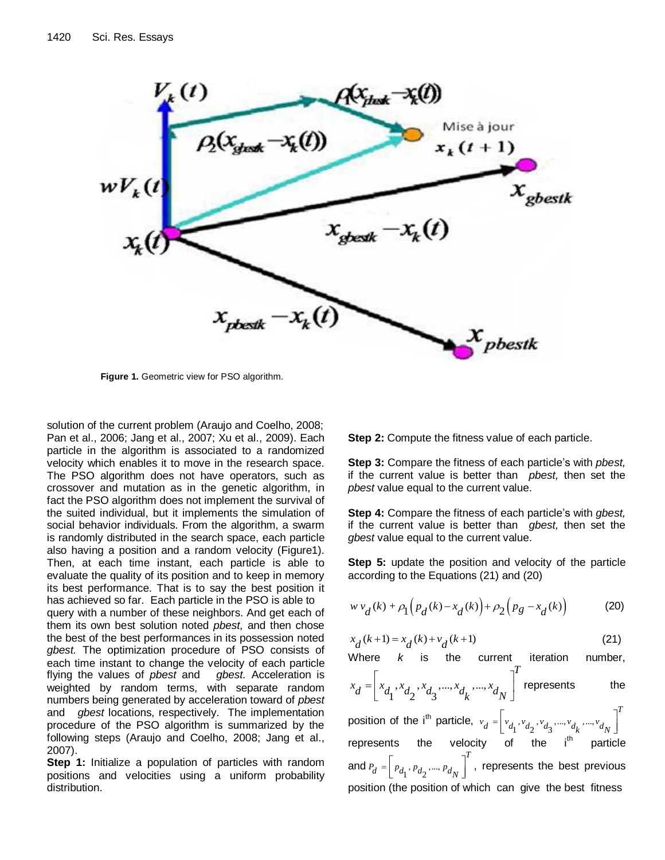

**Figure 1.** Geometric view for PSO algorithm.

solution of the current problem (Araujo and Coelho, 2008; Pan et al., 2006; Jang et al., 2007; Xu et al., 2009). Each particle in the algorithm is associated to a randomized velocity which enables it to move in the research space. The PSO algorithm does not have operators, such as crossover and mutation as in the genetic algorithm, in fact the PSO algorithm does not implement the survival of the suited individual, but it implements the simulation of social behavior individuals. From the algorithm, a swarm is randomly distributed in the search space, each particle also having a position and a random velocity (Figure1). Then, at each time instant, each particle is able to evaluate the quality of its position and to keep in memory its best performance. That is to say the best position it has achieved so far. Each particle in the PSO is able to query with a number of these neighbors. And get each of them its own best solution noted *pbest,* and then chose the best of the best performances in its possession noted *gbest.* The optimization procedure of PSO consists of each time instant to change the velocity of each particle flying the values of *pbest* and *gbest.* Acceleration is weighted by random terms, with separate random numbers being generated by acceleration toward of *pbest* and *gbest* locations, respectively. The implementation procedure of the PSO algorithm is summarized by the following steps (Araujo and Coelho, 2008; Jang et al., 2007).

**Step 1:** Initialize a population of particles with random positions and velocities using a uniform probability distribution.

**Step 2:** Compute the fitness value of each particle.

**Step 3:** Compare the fitness of each particle's with *pbest,*  if the current value is better than *pbest,* then set the *pbest* value equal to the current value.

**Step 4:** Compare the fitness of each particle's with *gbest,*  if the current value is better than *gbest,* then set the *gbest* value equal to the current value.

**Step 5:** update the position and velocity of the particle according to the Equations (21) and (20)

$$
w v_d(k) + \rho_1 \Big( p_d(k) - x_d(k) \Big) + \rho_2 \Big( p_g - x_d(k) \Big)
$$
 (20)

$$
x_d(k+1) = x_d(k) + v_d(k+1)
$$
 (21)

Where *k* is the current iteration number,  
\n
$$
x_d = \begin{bmatrix} x_{d_1}, x_{d_2}, x_{d_3}, ..., x_{d_k}, ..., x_{d_N} \end{bmatrix}^T
$$
 represents the position of the i<sup>th</sup> particle,  $v_d = \begin{bmatrix} v_{d_1}, v_{d_2}, v_{d_3}, ..., v_{d_k}, ..., v_{d_N} \end{bmatrix}^T$   
\nrepresents the velocity of the i<sup>th</sup> particle  
\nand  $P_d = \begin{bmatrix} p_{d_1}, p_{d_2}, ..., p_{d_N} \end{bmatrix}^T$ , represents the best previous position (the positive of which one since the heat fitness)

position (the position of which can give the best fitness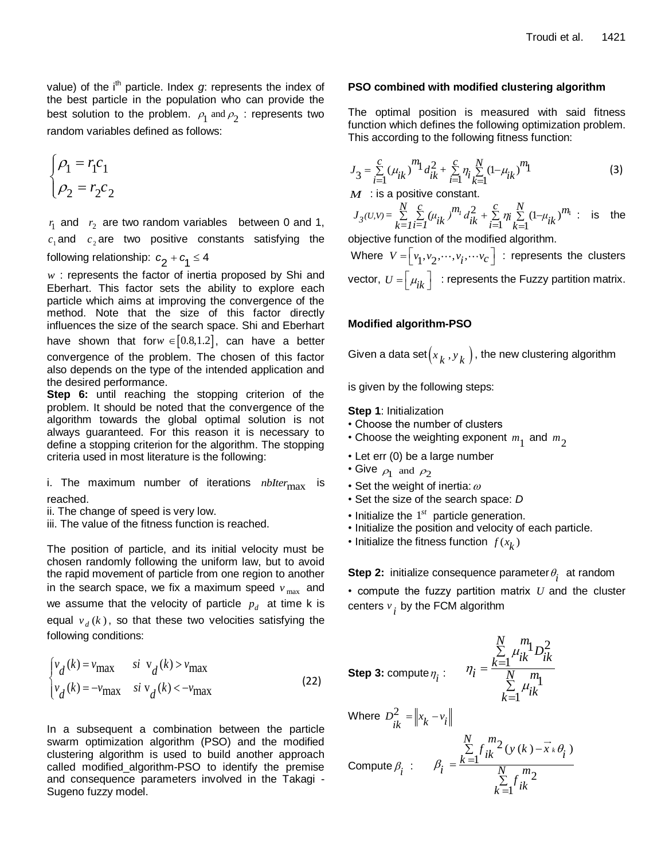value) of the i<sup>th</sup> particle. Index *g*: represents the index of the best particle in the population who can provide the best solution to the problem.  $\rho_1$  and  $\rho_2$  : represents two random variables defined as follows:

$$
\begin{cases}\n\rho_1 = r_1 c_1 \\
\rho_2 = r_2 c_2\n\end{cases}
$$

 $r_1$  and  $r_2$  are two random variables between 0 and 1,  $c_1$  and  $c_2$  are two positive constants satisfying the following relationship:  $c_2 + c_1 \leq 4$ 

*w* : represents the factor of inertia proposed by Shi and Eberhart. This factor sets the ability to explore each particle which aims at improving the convergence of the method. Note that the size of this factor directly influences the size of the search space. Shi and Eberhart have shown that for $w \in [0.8,1.2]$ , can have a better convergence of the problem. The chosen of this factor also depends on the type of the intended application and the desired performance.

**Step 6:** until reaching the stopping criterion of the problem. It should be noted that the convergence of the algorithm towards the global optimal solution is not always guaranteed. For this reason it is necessary to define a stopping criterion for the algorithm. The stopping criteria used in most literature is the following:

i. The maximum number of iterations *nbIter*<sub>max</sub> is reached.

ii. The change of speed is very low.

iii. The value of the fitness function is reached.

The position of particle, and its initial velocity must be chosen randomly following the uniform law, but to avoid the rapid movement of particle from one region to another in the search space, we fix a maximum speed  $v_{\text{max}}$  and we assume that the velocity of particle  $p_d$  at time k is equal  $v_d(k)$ , so that these two velocities satisfying the following conditions:

$$
\begin{cases}\nv_d(k) = v_{\text{max}} & \text{si } v_d(k) > v_{\text{max}} \\
v_d(k) = -v_{\text{max}} & \text{si } v_d(k) < -v_{\text{max}}\n\end{cases}
$$
\n(22)

In a subsequent a combination between the particle swarm optimization algorithm (PSO) and the modified clustering algorithm is used to build another approach called modified\_algorithm-PSO to identify the premise and consequence parameters involved in the Takagi - Sugeno fuzzy model.

### **PSO combined with modified clustering algorithm**

The optimal position is measured with said fitness function which defines the following optimization problem. This according to the following fitness function:

$$
J_3 = \sum_{i=1}^{c} (\mu_{ik})^m 1 \, d_{ik}^2 + \sum_{i=1}^{c} \eta_i \sum_{k=1}^{N} (1 - \mu_{ik})^m 1 \tag{3}
$$

*M* : is a positive constant.  
\n
$$
J_3(U,V) = \sum_{k=1}^{N} \sum_{i=1}^{C} (\mu_{ik})^{m_i} d_{ik}^2 + \sum_{i=1}^{C} \eta_i \sum_{k=1}^{N} (1 - \mu_{ik})^{m_i}
$$
 is the

objective function of the modified algorithm.

Where  $V = \begin{bmatrix} v_1, v_2, \cdots, v_i, \cdots v_c \end{bmatrix}$  : represents the clusters vector,  $U$  = $\left\lfloor \mu_{ik} \right\rfloor \;$  : represents the Fuzzy partition matrix.

# **Modified algorithm-PSO**

Given a data set $\left(x_k^{},y_k^{}\right)$ , the new clustering algorithm

is given by the following steps:

**Step 1**: Initialization

- Choose the number of clusters
- Choose the weighting exponent  $m_1^{}$  and  $m_2^{}$
- Let err (0) be a large number
- Give  $\rho_1$  and  $\rho_2$
- Set the weight of inertia:  $\omega$
- Set the size of the search space: *D*
- $\cdot$  Initialize the  $1^{st}$  particle generation.
- Initialize the position and velocity of each particle.
- Initialize the fitness function  $f(x_k)$

**Step 2:** initialize consequence parameter  $\theta$ <sub>i</sub> at random

• compute the fuzzy partition matrix *U* and the cluster centers  $v_i$  by the FCM algorithm

Step 3:  $\mathsf{compute}\, \eta_i$  :

$$
\eta_i = \frac{\sum\limits_{k=1}^{N}\mu_{ik}^m\mathbf{1}_{D_{ik}^2}}{\sum\limits_{k=1}^{N}\mu_{ik}^m}
$$

Where  $D_{ik}^2 = ||x_k - v_i||$  $=\|x_{i} -$ 

Compute 
$$
\beta_i
$$
: 
$$
\beta_i = \frac{\sum_{k=1}^{N} f_{ik}^{m_2}(y(k) - \vec{x}_k \theta_i)}{\sum_{k=1}^{N} f_{ik}^{m_2}}
$$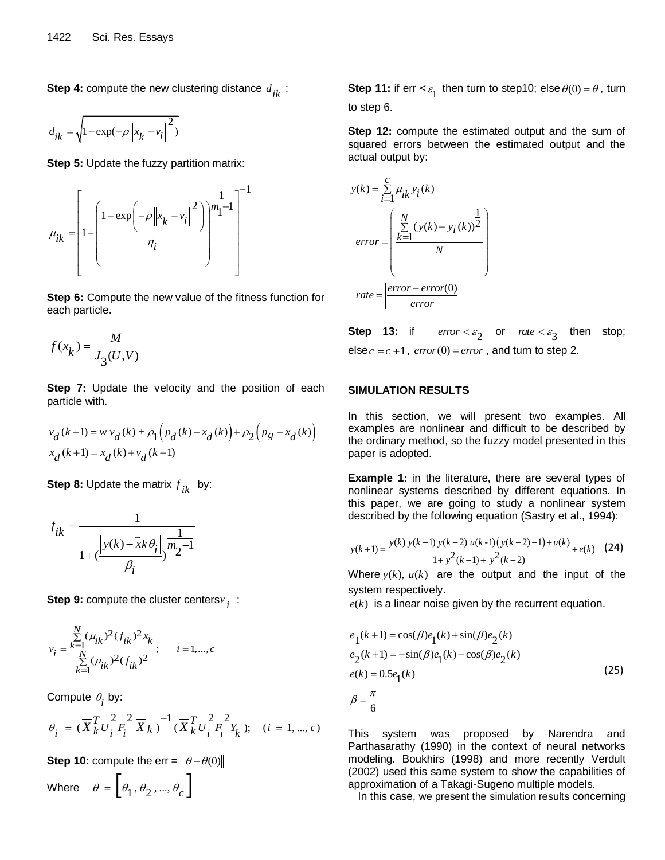**Step 4:** compute the new clustering distance *d ik* :

$$
d_{ik} = \sqrt{1 - \exp(-\rho \|x_k - v_i\|^2)}
$$

**Step 5: Update the fuzzy partition matrix:** 



**Step 6:** Compute the new value of the fitness function for each particle.

$$
f(x_k) = \frac{M}{J_3(U,V)}
$$

**Step 7:** Update the velocity and the position of each particle with.

$$
v_d(k+1) = w v_d(k) + \rho_1 \Big( p_d(k) - x_d(k) \Big) + \rho_2 \Big( p_g - x_d(k) \Big)
$$
  

$$
x_d(k+1) = x_d(k) + v_d(k+1)
$$

**Step 8:** Update the matrix  $f_{ik}$  by:

$$
f_{ik} = \frac{1}{1 + (\frac{\left|y(k) - \vec{x}k\theta_i\right|}{\beta_i})^{m_2 - 1}}
$$

**Step 9:** compute the cluster centers *v i* :

$$
v_i = \frac{\sum_{k=1}^{N} (\mu_{ik})^2 (f_{ik})^2 x_k}{\sum_{k=1}^{N} (\mu_{ik})^2 (f_{ik})^2}; \quad i = 1,...,c
$$

Compute 
$$
\theta_i
$$
 by:  
\n
$$
\theta_i = (\overline{X}_k^T U_i^2 F_i^2 \overline{X}_k)^{-1} (\overline{X}_k^T U_i^2 F_i^2 Y_k); \quad (i = 1, ..., c)
$$

**Step 10:** compute the err = 
$$
\|\theta - \theta(0)\|
$$
  
Where  $\theta = \begin{bmatrix} \theta_1, \theta_2, ..., \theta_c \end{bmatrix}$ 

**Step 11:** if  $err < \varepsilon_1$  then turn to step10; else  $\theta(0) = \theta$ , turn to step 6.

**Step 12:** compute the estimated output and the sum of squared errors between the estimated output and the actual output by:

$$
y(k) = \sum_{i=1}^{C} \mu_{ik} y_i(k)
$$
  
error = 
$$
\begin{pmatrix} N & 1 \\ \sum_{k=1}^{N} (y(k) - y_i(k))^2 \\ N \end{pmatrix}
$$
  
rate = 
$$
\begin{vmatrix} error - error(0) \\ error \end{vmatrix}
$$

**Step 13:** if  $error < \varepsilon_2$  or  $rate < \varepsilon_3$  then stop;  $else c = c + 1, error(0) = error, and turn to step 2.$ 

#### **SIMULATION RESULTS**

In this section, we will present two examples. All examples are nonlinear and difficult to be described by the ordinary method, so the fuzzy model presented in this paper is adopted.

**Example 1:** in the literature, there are several types of nonlinear systems described by different equations. In this paper, we are going to study a nonlinear system

described by the following equation (Sasty et al., 1994):  
\n
$$
y(k+1) = \frac{y(k) y(k-1) y(k-2) u(k-1) (y(k-2)-1) + u(k)}{1 + y^2 (k-1) + y^2 (k-2)}
$$
\n(24)

Where  $y(k)$ ,  $u(k)$  are the output and the input of the system respectively.

 $e(k)$  is a linear noise given by the recurrent equation.

$$
e_1(k+1) = \cos(\beta)e_1(k) + \sin(\beta)e_2(k)
$$
  
\n
$$
e_2(k+1) = -\sin(\beta)e_1(k) + \cos(\beta)e_2(k)
$$
  
\n
$$
e(k) = 0.5e_1(k)
$$
  
\n
$$
\beta = \frac{\pi}{6}
$$
 (25)

This system was proposed by Narendra and Parthasarathy (1990) in the context of neural networks modeling. Boukhirs (1998) and more recently Verdult (2002) used this same system to show the capabilities of approximation of a Takagi-Sugeno multiple models.

In this case, we present the simulation results concerning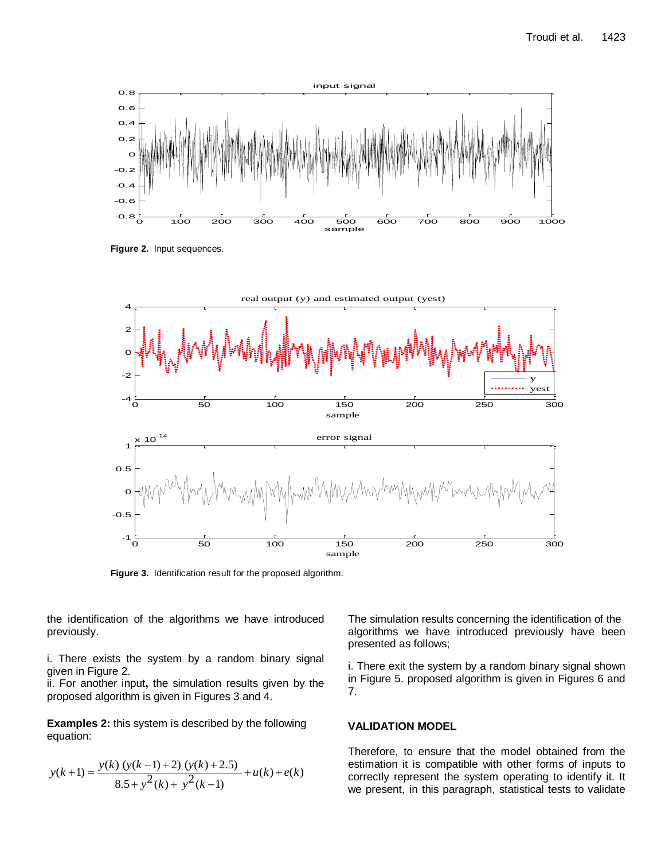

**Figure 2.** Input sequences.



**Figure 3.** Identification result for the proposed algorithm.

the identification of the algorithms we have introduced previously.

i. There exists the system by a random binary signal given in Figure 2.

ii. For another input**,** the simulation results given by the proposed algorithm is given in Figures 3 and 4.

**Examples 2:** this system is described by the following equation:

$$
y(k+1) = \frac{y(k) (y(k-1) + 2) (y(k) + 2.5)}{8.5 + y^{2}(k) + y^{2}(k-1)} + u(k) + e(k)
$$

The simulation results concerning the identification of the algorithms we have introduced previously have been presented as follows;

i. There exit the system by a random binary signal shown in Figure 5. proposed algorithm is given in Figures 6 and 7.

# **VALIDATION MODEL**

Therefore, to ensure that the model obtained from the estimation it is compatible with other forms of inputs to correctly represent the system operating to identify it. It we present, in this paragraph, statistical tests to validate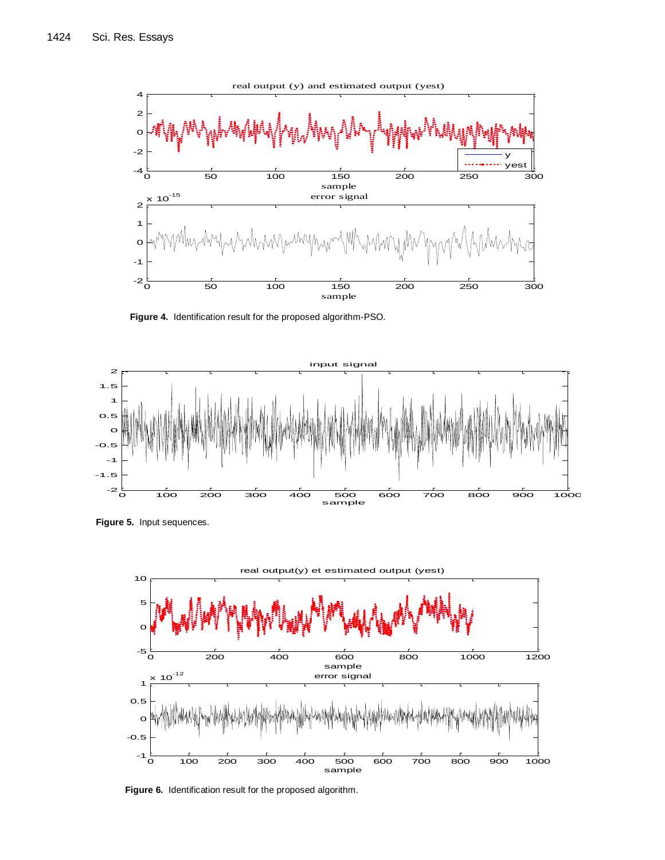

**Figure 4.** Identification result for the proposed algorithm-PSO.



**Figure 5.** Input sequences.



**Figure 6.** Identification result for the proposed algorithm.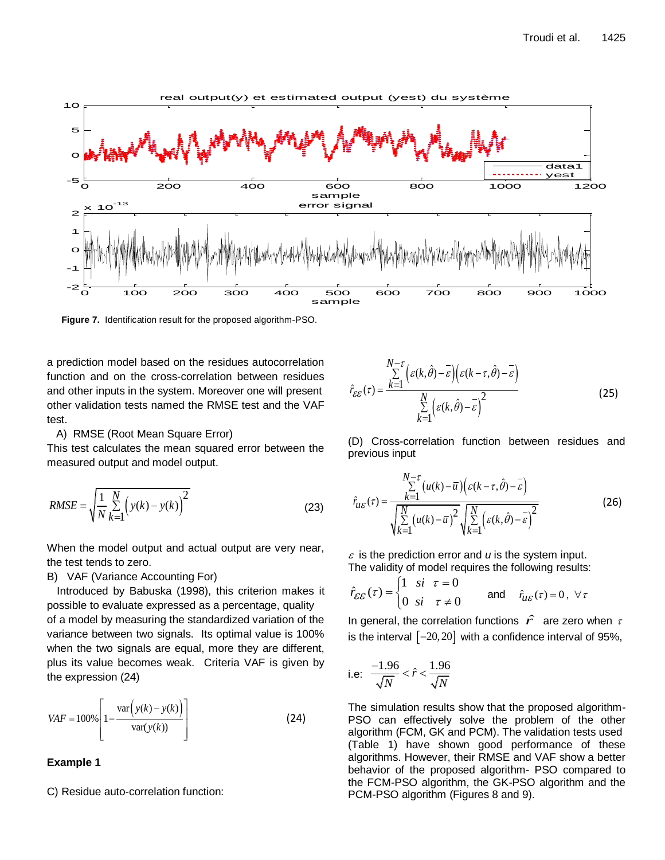

**Figure 7.** Identification result for the proposed algorithm-PSO.

a prediction model based on the residues autocorrelation function and on the cross-correlation between residues and other inputs in the system. Moreover one will present other validation tests named the RMSE test and the VAF test.

#### A) RMSE (Root Mean Square Error)

This test calculates the mean squared error between the measured output and model output.

RMSE = 
$$
\sqrt{\frac{1}{N} \sum_{k=1}^{N} (y(k) - y(k))^2}
$$
 (23)

When the model output and actual output are very near, the test tends to zero.

#### B) VAF (Variance Accounting For)

Introduced by Babuska (1998), this criterion makes it possible to evaluate expressed as a percentage, quality of a model by measuring the standardized variation of the variance between two signals. Its optimal value is 100% when the two signals are equal, more they are different, plus its value becomes weak. Criteria VAF is given by the expression (24)

$$
VAF = 100\% \left[ 1 - \frac{\text{var}\left(y(k) - y(k)\right)}{\text{var}(y(k))} \right]
$$
 (24)

#### **Example 1**

C) Residue auto-correlation function:

$$
\hat{r}_{\varepsilon\varepsilon}(\tau) = \frac{\sum_{k=1}^{N-\tau} \left( \varepsilon(k,\hat{\theta}) - \overline{\varepsilon} \right) \left( \varepsilon(k-\tau,\hat{\theta}) - \overline{\varepsilon} \right)}{\sum_{k=1}^{N} \left( \varepsilon(k,\hat{\theta}) - \overline{\varepsilon} \right)^2}
$$
(25)

(D) Cross-correlation function between residues and previous input

$$
\hat{r}_{u\varepsilon}(\tau) = \frac{\sum_{k=1}^{N-\tau} (u(k) - \overline{u}) \left( \varepsilon(k - \tau, \hat{\theta}) - \overline{\varepsilon} \right)}{\sqrt{\sum_{k=1}^{N} (u(k) - \overline{u})^2} \sqrt{\sum_{k=1}^{N} \left( \varepsilon(k, \hat{\theta}) - \overline{\varepsilon} \right)^2}}
$$
(26)

 $\epsilon$  is the prediction error and  $\mu$  is the system input. The validity of model requires the following results:

$$
\hat{r}_{\mathcal{E}\mathcal{E}}(\tau) = \begin{cases} 1 & \text{si } \tau = 0 \\ 0 & \text{si } \tau \neq 0 \end{cases} \quad \text{and} \quad \hat{r}_{\mathcal{U}\mathcal{E}}(\tau) = 0, \ \forall \tau
$$

In general, the correlation functions  $\hat{r}$  are zero when  $\tau$ is the interval  $[-20, 20]$  with a confidence interval of 95%,

i.e: 
$$
\frac{-1.96}{\sqrt{N}} < \hat{r} < \frac{1.96}{\sqrt{N}}
$$

The simulation results show that the proposed algorithm-PSO can effectively solve the problem of the other algorithm (FCM, GK and PCM). The validation tests used (Table 1) have shown good performance of these algorithms. However, their RMSE and VAF show a better behavior of the proposed algorithm- PSO compared to the FCM-PSO algorithm, the GK-PSO algorithm and the PCM-PSO algorithm (Figures 8 and 9).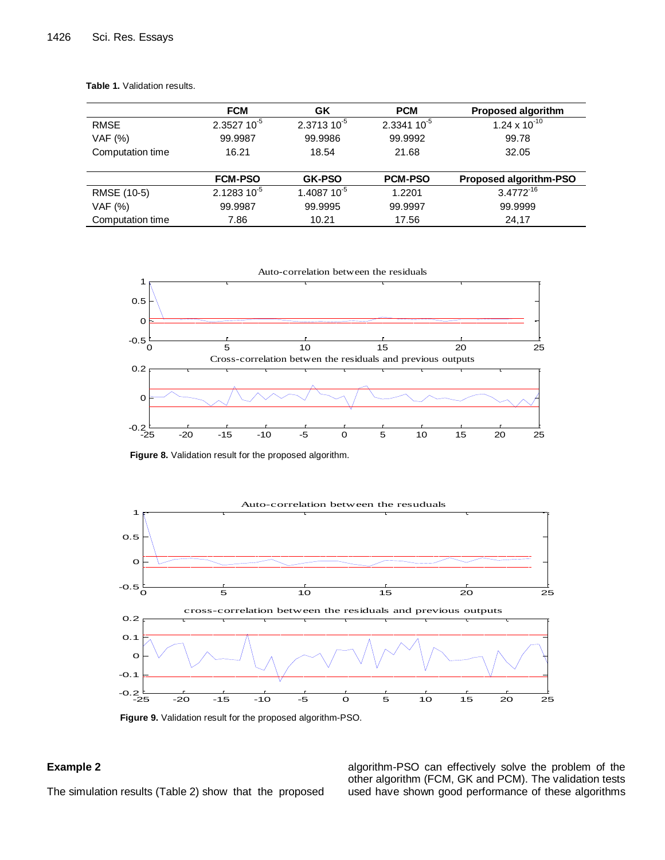|                  | <b>FCM</b>       | GK             | <b>PCM</b>     | <b>Proposed algorithm</b>     |
|------------------|------------------|----------------|----------------|-------------------------------|
| <b>RMSE</b>      | $2.3527 10^{-5}$ | $2.371310^{5}$ | $2.334110^{5}$ | $1.24 \times 10^{-10}$        |
| VAF (%)          | 99.9987          | 99.9986        | 99.9992        | 99.78                         |
| Computation time | 16.21            | 18.54          | 21.68          | 32.05                         |
|                  |                  |                |                |                               |
|                  | <b>FCM-PSO</b>   | <b>GK-PSO</b>  | <b>PCM-PSO</b> | <b>Proposed algorithm-PSO</b> |
| RMSE (10-5)      | $2.128310^{5}$   | 1.4087 10-5    | 1.2201         | $3.4772^{16}$                 |
| VAF (%)          | 99.9987          | 99.9995        | 99.9997        | 99.9999                       |
| Computation time | 7.86             | 10.21          | 17.56          | 24,17                         |

**Table 1.** Validation results.



**Figure 8.** Validation result for the proposed algorithm.



**Figure 9.** Validation result for the proposed algorithm-PSO.

# **Example 2**

The simulation results (Table 2) show that the proposed

algorithm-PSO can effectively solve the problem of the other algorithm (FCM, GK and PCM). The validation tests used have shown good performance of these algorithms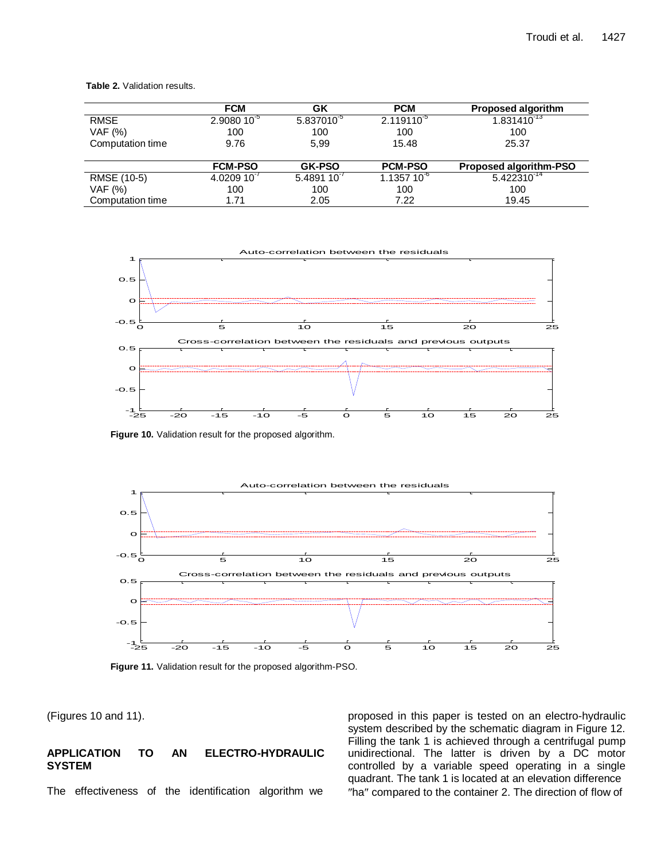**Table 2.** Validation results.

|                  | <b>FCM</b>      | GΚ                     | <b>PCM</b>     | <b>Proposed algorithm</b>     |
|------------------|-----------------|------------------------|----------------|-------------------------------|
| <b>RMSE</b>      | $2.908010^{-5}$ | 5.837010 <sup>-5</sup> | $2.119110^{5}$ | $1.831\overline{410}^{13}$    |
| <b>VAF</b> (%)   | 100             | 100                    | 100            | 100                           |
| Computation time | 9.76            | 5.99                   | 15.48          | 25.37                         |
|                  |                 |                        |                |                               |
|                  | <b>FCM-PSO</b>  | <b>GK-PSO</b>          | <b>PCM-PSO</b> | <b>Proposed algorithm-PSO</b> |
| RMSE (10-5)      | $4.020910^{-7}$ | $5.489110^{-7}$        | $1.135710^{6}$ | $5.422310^{-14}$              |
| VAF (%)          | 100             | 100                    | 100            | 100                           |
| Computation time | 1.71            | 2.05                   | 7.22           | 19.45                         |



**Figure 10.** Validation result for the proposed algorithm.



**Figure 11.** Validation result for the proposed algorithm-PSO.

(Figures 10 and 11).

# **APPLICATION TO AN ELECTRO-HYDRAULIC SYSTEM**

The effectiveness of the identification algorithm we

proposed in this paper is tested on an electro-hydraulic system described by the schematic diagram in Figure 12. Filling the tank 1 is achieved through a centrifugal pump unidirectional. The latter is driven by a DC motor controlled by a variable speed operating in a single quadrant. The tank 1 is located at an elevation difference "ha" compared to the container 2. The direction of flow of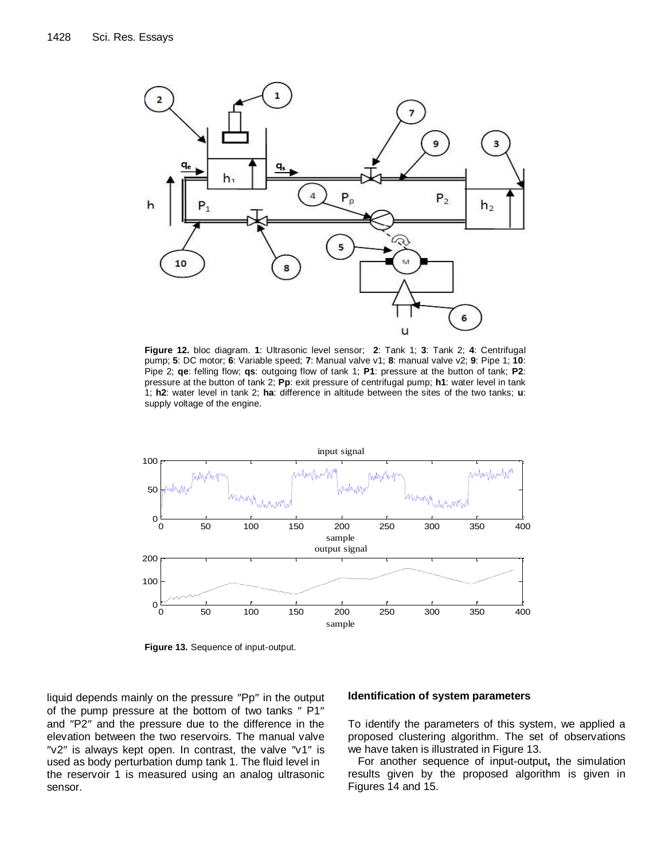

**Figure 12.** bloc diagram. **1**: Ultrasonic level sensor; **2**: Tank 1; **3**: Tank 2; **4**: Centrifugal pump; **5**: DC motor; **6**: Variable speed; **7**: Manual valve v1; **8**: manual valve v2; **9**: Pipe 1; **10**: Pipe 2; **qe**: felling flow; **qs**: outgoing flow of tank 1; **P1**: pressure at the button of tank; **P2**: pressure at the button of tank 2; **Pp**: exit pressure of centrifugal pump; **h1**: water level in tank 1; **h2**: water level in tank 2; **ha**: difference in altitude between the sites of the two tanks; **u**: supply voltage of the engine.



**Figure 13.** Sequence of input-output.

liquid depends mainly on the pressure "Pp" in the output of the pump pressure at the bottom of two tanks " P1" and "P2" and the pressure due to the difference in the elevation between the two reservoirs. The manual valve " $v2$ " is always kept open. In contrast, the valve " $v1$ " is used as body perturbation dump tank 1. The fluid level in the reservoir 1 is measured using an analog ultrasonic sensor.

#### **Identification of system parameters**

To identify the parameters of this system, we applied a proposed clustering algorithm. The set of observations we have taken is illustrated in Figure 13.

For another sequence of input-output**,** the simulation results given by the proposed algorithm is given in Figures 14 and 15.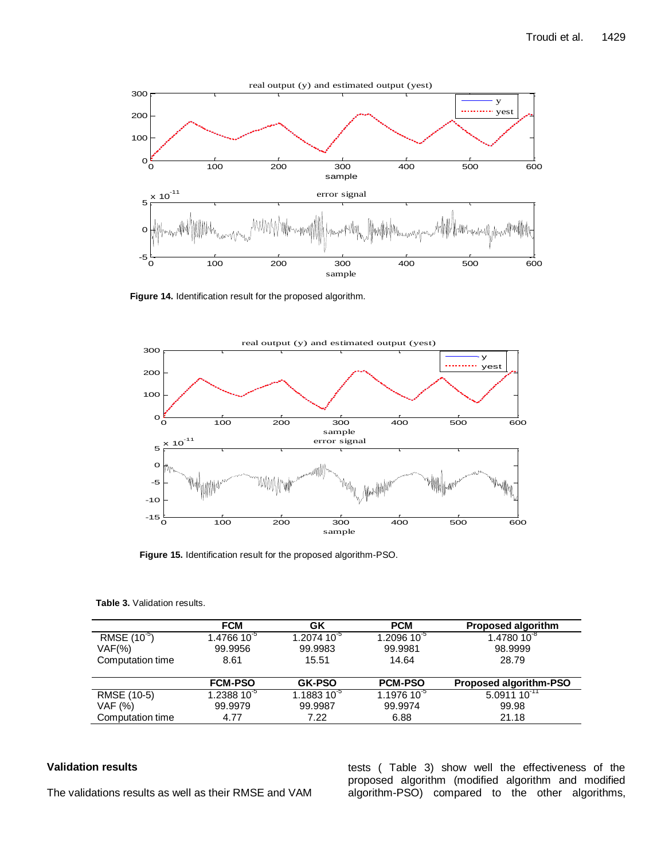

**Figure 14.** Identification result for the proposed algorithm.



**Figure 15.** Identification result for the proposed algorithm-PSO.

|  |  |  | <b>Table 3. Validation results.</b> |
|--|--|--|-------------------------------------|
|--|--|--|-------------------------------------|

|                          | <b>FCM</b>     | GΚ             | <b>PCM</b>        | <b>Proposed algorithm</b> |
|--------------------------|----------------|----------------|-------------------|---------------------------|
| RMSE (10 <sup>-5</sup> ) | $1.476610^{5}$ | $1.207410^{5}$ | 1.2096 10 $^{-5}$ | $1.4780\,10^{3}$          |
| $VAF(\%)$                | 99.9956        | 99.9983        | 99.9981           | 98.9999                   |
| Computation time         | 8.61           | 15.51          | 14.64             | 28.79                     |
|                          |                |                |                   |                           |
|                          | <b>FCM-PSO</b> | <b>GK-PSO</b>  | <b>PCM-PSO</b>    | Proposed algorithm-PSO    |
| RMSE (10-5)              | $1.238810^{5}$ | $1.188310^{5}$ | $1.197610^{5}$    | $5.0911 10^{-11}$         |
| VAF (%)                  | 99.9979        | 99.9987        | 99.9974           | 99.98                     |
| Computation time         | 4.77           | 7.22           | 6.88              | 21.18                     |

# **Validation results**

The validations results as well as their RMSE and VAM

tests ( Table 3) show well the effectiveness of the proposed algorithm (modified algorithm and modified algorithm-PSO) compared to the other algorithms,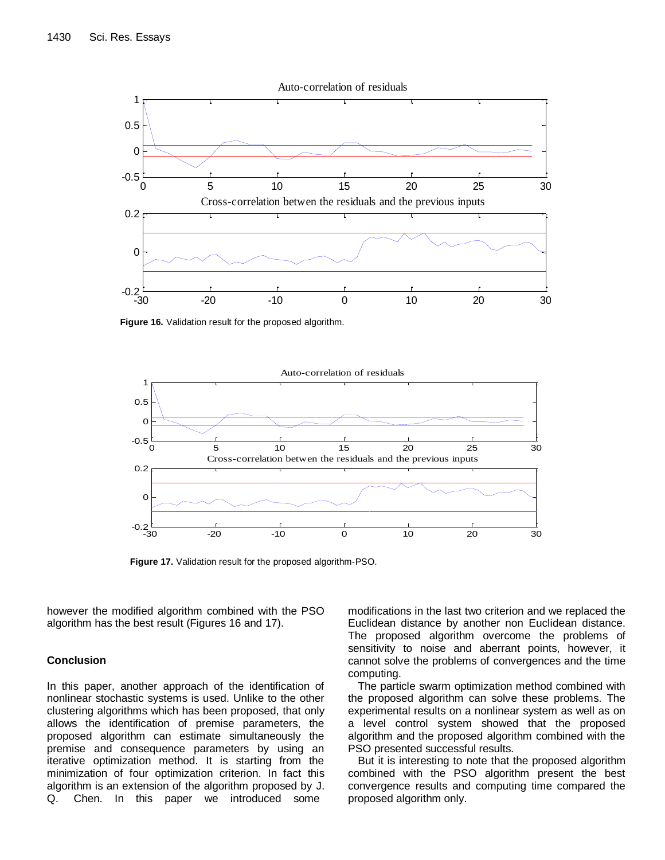

**Figure 16.** Validation result for the proposed algorithm.



**Figure 17.** Validation result for the proposed algorithm-PSO.

however the modified algorithm combined with the PSO algorithm has the best result (Figures 16 and 17).

#### **Conclusion**

In this paper, another approach of the identification of nonlinear stochastic systems is used. Unlike to the other clustering algorithms which has been proposed, that only allows the identification of premise parameters, the proposed algorithm can estimate simultaneously the premise and consequence parameters by using an iterative optimization method. It is starting from the minimization of four optimization criterion. In fact this algorithm is an extension of the algorithm proposed by J. Q. Chen. In this paper we introduced some

modifications in the last two criterion and we replaced the Euclidean distance by another non Euclidean distance. The proposed algorithm overcome the problems of sensitivity to noise and aberrant points, however, it cannot solve the problems of convergences and the time computing.

The particle swarm optimization method combined with the proposed algorithm can solve these problems. The experimental results on a nonlinear system as well as on a level control system showed that the proposed algorithm and the proposed algorithm combined with the PSO presented successful results.

But it is interesting to note that the proposed algorithm combined with the PSO algorithm present the best convergence results and computing time compared the proposed algorithm only.